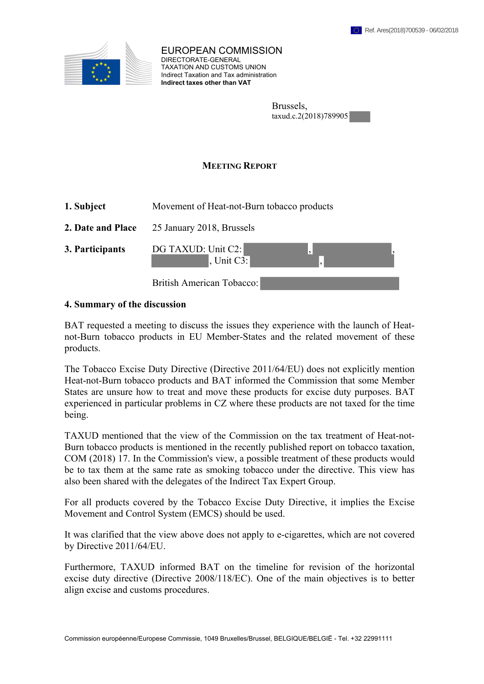

EUROPEAN COMMISSION DIRECTORATE-GENERAL TAXATION AND CUSTOMS UNION Indirect Taxation and Tax administration **Indirect taxes other than VAT**

| Brussels,             |  |
|-----------------------|--|
| taxud.c.2(2018)789905 |  |

## **MEETING REPORT**

| 1. Subject        | Movement of Heat-not-Burn tobacco products |  |
|-------------------|--------------------------------------------|--|
| 2. Date and Place | 25 January 2018, Brussels                  |  |
| 3. Participants   | DG TAXUD: Unit C2:<br>, Unit $C3$ :        |  |
|                   | British American Tobacco:                  |  |

## **4. Summary of the discussion**

BAT requested a meeting to discuss the issues they experience with the launch of Heatnot-Burn tobacco products in EU Member-States and the related movement of these products.

The Tobacco Excise Duty Directive (Directive 2011/64/EU) does not explicitly mention Heat-not-Burn tobacco products and BAT informed the Commission that some Member States are unsure how to treat and move these products for excise duty purposes. BAT experienced in particular problems in CZ where these products are not taxed for the time being.

TAXUD mentioned that the view of the Commission on the tax treatment of Heat-not-Burn tobacco products is mentioned in the recently published report on tobacco taxation, COM (2018) 17. In the Commission's view, a possible treatment of these products would be to tax them at the same rate as smoking tobacco under the directive. This view has also been shared with the delegates of the Indirect Tax Expert Group.

For all products covered by the Tobacco Excise Duty Directive, it implies the Excise Movement and Control System (EMCS) should be used.

It was clarified that the view above does not apply to e-cigarettes, which are not covered by Directive 2011/64/EU.

Furthermore, TAXUD informed BAT on the timeline for revision of the horizontal excise duty directive (Directive 2008/118/EC). One of the main objectives is to better align excise and customs procedures.